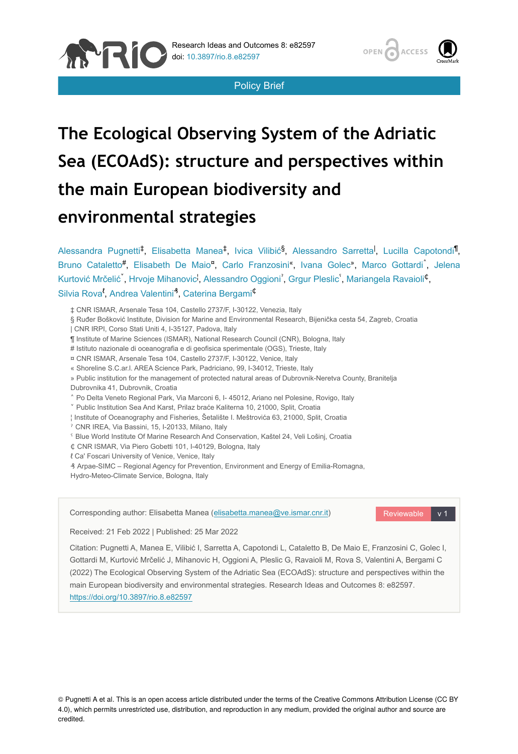

Policy Brief

# **The Ecological Observing System of the Adriatic Sea (ECOAdS): structure and perspectives within the main European biodiversity and environmental strategies**

Alessandra Pugnetti<sup>‡</sup>, Elisabetta Manea<sup>‡</sup>, Ivica Vilibić<sup>§</sup>, Alessandro Sarretta<sup>l</sup>, Lucilla Capotondi<sup>¶</sup>, Bruno Cataletto<sup>#</sup>, Elisabeth De Maio<sup>n</sup>, Carlo Franzosini<sup>«</sup>, Ivana Golec<sup>»</sup>, Marco Gottardi , Jelena Kurtović Mrčelić , Hrvoje Mihanovic<sup>i</sup>, Alessandro Oggioni<sup>'</sup>, Grgur Pleslic<sup>'</sup>, Mariangela Ravaioli<sup>¢</sup>, Silvia Rova<sup>*t*</sup>, Andrea Valentini<sup>3</sup>, Caterina Bergami<sup>¢</sup>

‡ CNR ISMAR, Arsenale Tesa 104, Castello 2737/F, I-30122, Venezia, Italy

§ Ruđer Bošković Institute, Division for Marine and Environmental Research, Bijenička cesta 54, Zagreb, Croatia

| CNR IRPI, Corso Stati Uniti 4, I-35127, Padova, Italy

¶ Institute of Marine Sciences (ISMAR), National Research Council (CNR), Bologna, Italy

# Istituto nazionale di oceanografia e di geofisica sperimentale (OGS), Trieste, Italy

¤ CNR ISMAR, Arsenale Tesa 104, Castello 2737/F, I-30122, Venice, Italy

« Shoreline S.C.ar.l. AREA Science Park, Padriciano, 99, I-34012, Trieste, Italy

» Public institution for the management of protected natural areas of Dubrovnik-Neretva County, Branitelja

Dubrovnika 41, Dubrovnik, Croatia

**ANRI** 

˄ Po Delta Veneto Regional Park, Via Marconi 6, I- 45012, Ariano nel Polesine, Rovigo, Italy

˅ Public Institution Sea And Karst, Prilaz braće Kaliterna 10, 21000, Split, Croatia

¦ Institute of Oceanography and Fisheries, Šetalište I. Meštrovića 63, 21000, Split, Croatia

ˀ CNR IREA, Via Bassini, 15, I-20133, Milano, Italy

ˁ Blue World Institute Of Marine Research And Conservation, Kaštel 24, Veli Lošinj, Croatia

 $C$  CNR ISMAR, Via Piero Gobetti 101, I-40129, Bologna, Italy

ℓ Ca' Foscari University of Venice, Venice, Italy

₰ Arpae-SIMC – Regional Agency for Prevention, Environment and Energy of Emilia-Romagna, Hydro-Meteo-Climate Service, Bologna, Italy

Reviewable v 1 Corresponding author: Elisabetta Manea ([elisabetta.manea@ve.ismar.cnr.it](mailto:elisabetta.manea@ve.ismar.cnr.it))

Received: 21 Feb 2022 | Published: 25 Mar 2022

Citation: Pugnetti A, Manea E, Vilibić I, Sarretta A, Capotondi L, Cataletto B, De Maio E, Franzosini C, Golec I, Gottardi M, Kurtović Mrčelić J, Mihanovic H, Oggioni A, Pleslic G, Ravaioli M, Rova S, Valentini A, Bergami C (2022) The Ecological Observing System of the Adriatic Sea (ECOAdS): structure and perspectives within the main European biodiversity and environmental strategies. Research Ideas and Outcomes 8: e82597. <https://doi.org/10.3897/rio.8.e82597>

© Pugnetti A et al. This is an open access article distributed under the terms of the Creative Commons Attribution License (CC BY 4.0), which permits unrestricted use, distribution, and reproduction in any medium, provided the original author and source are credited.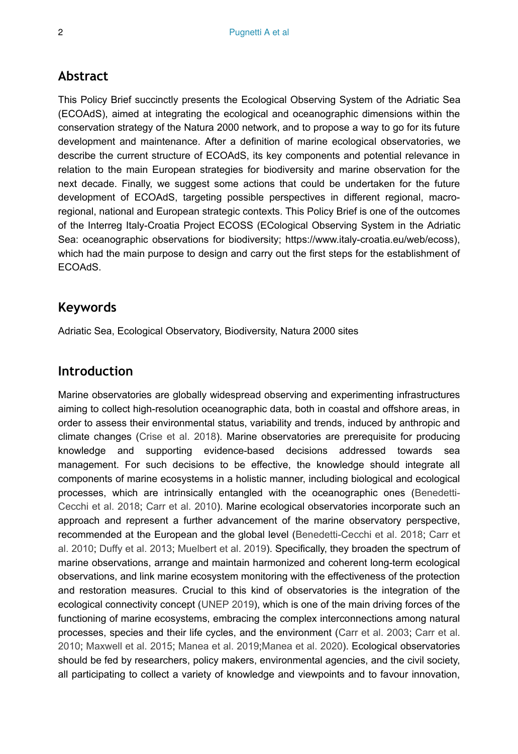### **Abstract**

This Policy Brief succinctly presents the Ecological Observing System of the Adriatic Sea (ECOAdS), aimed at integrating the ecological and oceanographic dimensions within the conservation strategy of the Natura 2000 network, and to propose a way to go for its future development and maintenance. After a definition of marine ecological observatories, we describe the current structure of ECOAdS, its key components and potential relevance in relation to the main European strategies for biodiversity and marine observation for the next decade. Finally, we suggest some actions that could be undertaken for the future development of ECOAdS, targeting possible perspectives in different regional, macroregional, national and European strategic contexts. This Policy Brief is one of the outcomes of the Interreg Italy-Croatia Project ECOSS (ECological Observing System in the Adriatic Sea: oceanographic observations for biodiversity; https://www.italy-croatia.eu/web/ecoss), which had the main purpose to design and carry out the first steps for the establishment of ECOAdS.

### **Keywords**

Adriatic Sea, Ecological Observatory, Biodiversity, Natura 2000 sites

### **Introduction**

Marine observatories are globally widespread observing and experimenting infrastructures aiming to collect high-resolution oceanographic data, both in coastal and offshore areas, in order to assess their environmental status, variability and trends, induced by anthropic and climate changes ([Crise et al. 2018](#page-9-0)). Marine observatories are prerequisite for producing knowledge and supporting evidence-based decisions addressed towards sea management. For such decisions to be effective, the knowledge should integrate all components of marine ecosystems in a holistic manner, including biological and ecological processes, which are intrinsically entangled with the oceanographic ones [\(Benedetti-](#page-9-1)[Cecchi et al. 2018](#page-9-1); [Carr et al. 2010\)](#page-9-2). Marine ecological observatories incorporate such an approach and represent a further advancement of the marine observatory perspective, recommended at the European and the global level ([Benedetti-Cecchi et al. 2018;](#page-9-1) [Carr et](#page-9-2) [al. 2010;](#page-9-2) [Duffy et al. 2013](#page-10-0); [Muelbert et al. 2019](#page-11-0)). Specifically, they broaden the spectrum of marine observations, arrange and maintain harmonized and coherent long-term ecological observations, and link marine ecosystem monitoring with the effectiveness of the protection and restoration measures. Crucial to this kind of observatories is the integration of the ecological connectivity concept ([UNEP 2019](#page-12-0)), which is one of the main driving forces of the functioning of marine ecosystems, embracing the complex interconnections among natural processes, species and their life cycles, and the environment [\(Carr et al. 2003](#page-9-3); [Carr et al.](#page-9-2) [2010](#page-9-2); [Maxwell et al. 2015;](#page-11-1) [Manea et al. 2019](#page-11-2)[;Manea et al. 2020](#page-11-3)). Ecological observatories should be fed by researchers, policy makers, environmental agencies, and the civil society, all participating to collect a variety of knowledge and viewpoints and to favour innovation,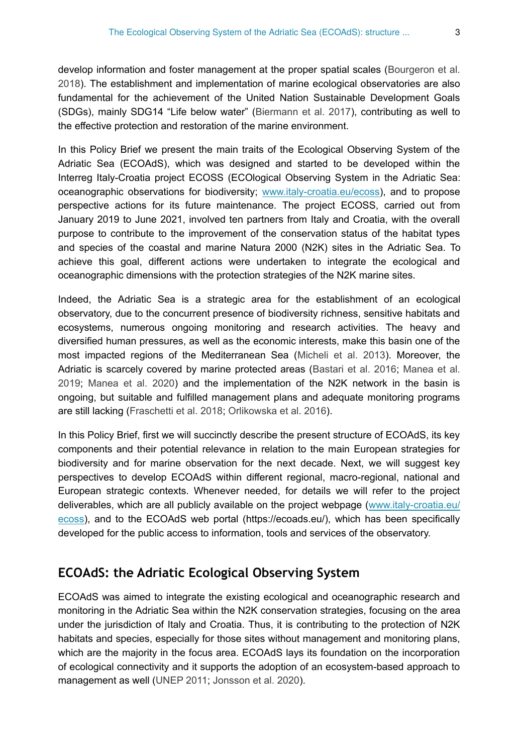develop information and foster management at the proper spatial scales ([Bourgeron et al.](#page-9-4) [2018](#page-9-4)). The establishment and implementation of marine ecological observatories are also fundamental for the achievement of the United Nation Sustainable Development Goals (SDGs), mainly SDG14 "Life below water" ([Biermann et al. 2017\)](#page-9-5), contributing as well to the effective protection and restoration of the marine environment.

In this Policy Brief we present the main traits of the Ecological Observing System of the Adriatic Sea (ECOAdS), which was designed and started to be developed within the Interreg Italy-Croatia project ECOSS (ECOlogical Observing System in the Adriatic Sea: oceanographic observations for biodiversity; [www.italy-croatia.eu/ecoss\)](http://www.italy-croatia.eu/ecoss), and to propose perspective actions for its future maintenance. The project ECOSS, carried out from January 2019 to June 2021, involved ten partners from Italy and Croatia, with the overall purpose to contribute to the improvement of the conservation status of the habitat types and species of the coastal and marine Natura 2000 (N2K) sites in the Adriatic Sea. To achieve this goal, different actions were undertaken to integrate the ecological and oceanographic dimensions with the protection strategies of the N2K marine sites.

Indeed, the Adriatic Sea is a strategic area for the establishment of an ecological observatory, due to the concurrent presence of biodiversity richness, sensitive habitats and ecosystems, numerous ongoing monitoring and research activities. The heavy and diversified human pressures, as well as the economic interests, make this basin one of the most impacted regions of the Mediterranean Sea [\(Micheli et al. 2013\)](#page-11-4). Moreover, the Adriatic is scarcely covered by marine protected areas [\(Bastari et al. 2016;](#page-9-6) [Manea et al.](#page-11-2) [2019](#page-11-2); [Manea et al. 2020\)](#page-11-3) and the implementation of the N2K network in the basin is ongoing, but suitable and fulfilled management plans and adequate monitoring programs are still lacking ([Fraschetti et al. 2018](#page-10-1); [Orlikowska et al. 2016\)](#page-11-5).

In this Policy Brief, first we will succinctly describe the present structure of ECOAdS, its key components and their potential relevance in relation to the main European strategies for biodiversity and for marine observation for the next decade. Next, we will suggest key perspectives to develop ECOAdS within different regional, macro-regional, national and European strategic contexts. Whenever needed, for details we will refer to the project deliverables, which are all publicly available on the project webpage ([www.italy-croatia.eu/](http://www.italy-croatia.eu/ecoss) [ecoss\)](http://www.italy-croatia.eu/ecoss), and to the ECOAdS web portal (https://ecoads.eu/), which has been specifically developed for the public access to information, tools and services of the observatory.

### **ECOAdS: the Adriatic Ecological Observing System**

ECOAdS was aimed to integrate the existing ecological and oceanographic research and monitoring in the Adriatic Sea within the N2K conservation strategies, focusing on the area under the jurisdiction of Italy and Croatia. Thus, it is contributing to the protection of N2K habitats and species, especially for those sites without management and monitoring plans, which are the majority in the focus area. ECOAdS lays its foundation on the incorporation of ecological connectivity and it supports the adoption of an ecosystem-based approach to management as well [\(UNEP 2011](#page-12-1); [Jonsson et al. 2020](#page-11-6)).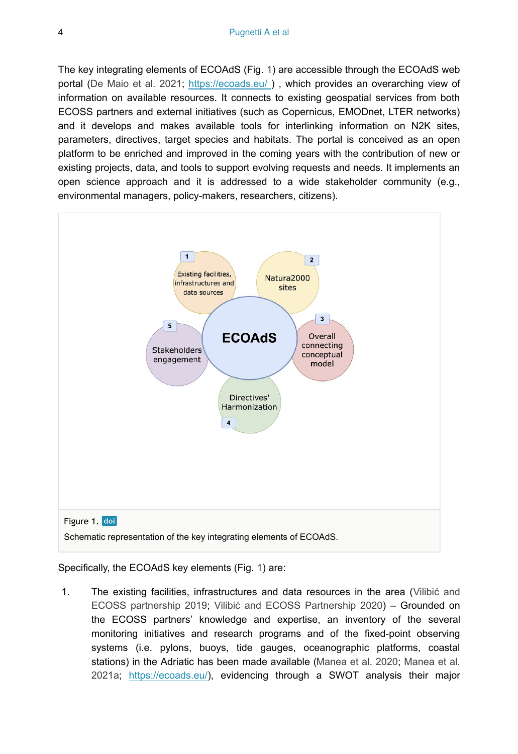The key integrating elements of ECOAdS (Fig. [1\)](#page-3-0) are accessible through the ECOAdS web portal ([De Maio et al. 2021](#page-10-2); [https://ecoads.eu/ \)](https://ecoads.eu/) , which provides an overarching view of information on available resources. It connects to existing geospatial services from both ECOSS partners and external initiatives (such as Copernicus, EMODnet, LTER networks) and it develops and makes available tools for interlinking information on N2K sites, parameters, directives, target species and habitats. The portal is conceived as an open platform to be enriched and improved in the coming years with the contribution of new or existing projects, data, and tools to support evolving requests and needs. It implements an open science approach and it is addressed to a wide stakeholder community (e.g., environmental managers, policy-makers, researchers, citizens).

<span id="page-3-0"></span>

Specifically, the ECOAdS key elements (Fig. [1\)](#page-3-0) are:

1. The existing facilities, infrastructures and data resources in the area ([Vilibi](#page-12-2)ć and [ECOSS partnership 2019;](#page-12-2) Vilibić [and ECOSS Partnership 2020](#page-12-3)) – Grounded on the ECOSS partners' knowledge and expertise, an inventory of the several monitoring initiatives and research programs and of the fixed-point observing systems (i.e. pylons, buoys, tide gauges, oceanographic platforms, coastal stations) in the Adriatic has been made available [\(Manea et al. 2020](#page-11-3); [Manea et al.](#page-11-7) [2021a](#page-11-7); <https://ecoads.eu/>), evidencing through a SWOT analysis their maior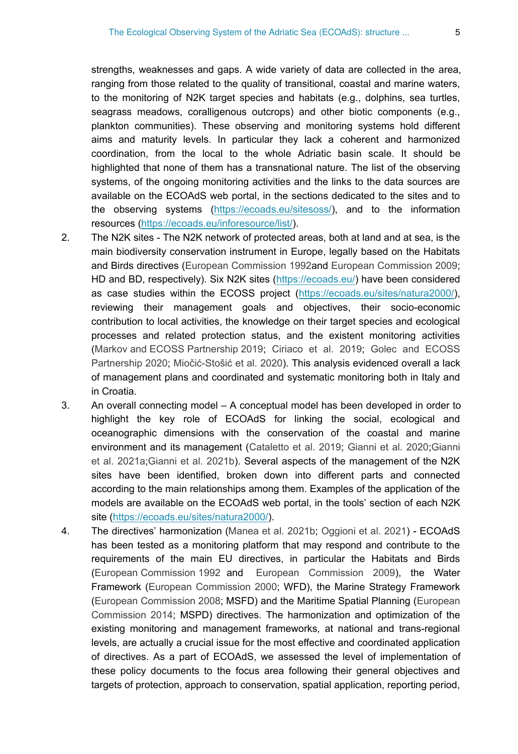strengths, weaknesses and gaps. A wide variety of data are collected in the area, ranging from those related to the quality of transitional, coastal and marine waters, to the monitoring of N2K target species and habitats (e.g., dolphins, sea turtles, seagrass meadows, coralligenous outcrops) and other biotic components (e.g., plankton communities). These observing and monitoring systems hold different aims and maturity levels. In particular they lack a coherent and harmonized coordination, from the local to the whole Adriatic basin scale. It should be highlighted that none of them has a transnational nature. The list of the observing systems, of the ongoing monitoring activities and the links to the data sources are available on the ECOAdS web portal, in the sections dedicated to the sites and to the observing systems [\(https://ecoads.eu/sitesoss/](https://ecoads.eu/sitesoss/)), and to the information resources [\(https://ecoads.eu/inforesource/list/](https://ecoads.eu/inforesource/list/)).

- 2. The N2K sites The N2K network of protected areas, both at land and at sea, is the main biodiversity conservation instrument in Europe, legally based on the Habitats and Birds directives [\(European Commission 1992](#page-10-3)and [European Commission 2009;](#page-10-4) HD and BD, respectively). Six N2K sites [\(https://ecoads.eu/](https://ecoads.eu/)) have been considered as case studies within the ECOSS project ([https://ecoads.eu/sites/natura2000/\)](https://ecoads.eu/sites/natura2000/), reviewing their management goals and objectives, their socio-economic contribution to local activities, the knowledge on their target species and ecological processes and related protection status, and the existent monitoring activities [\(Markov and ECOSS Partnership 2019;](#page-11-8) [Ciriaco et al. 2019;](#page-9-7) [Golec and ECOSS](#page-10-5) [Partnership 2020](#page-10-5); Miočić-Stošić [et al. 2020](#page-11-9)). This analysis evidenced overall a lack of management plans and coordinated and systematic monitoring both in Italy and in Croatia.
- 3. An overall connecting model A conceptual model has been developed in order to highlight the key role of ECOAdS for linking the social, ecological and oceanographic dimensions with the conservation of the coastal and marine environment and its management ([Cataletto et al. 2019;](#page-9-8) [Gianni et al. 2020](#page-10-6)[;Gianni](#page-10-7) [et al. 2021a](#page-10-7);[Gianni et al. 2021b\)](#page-10-8). Several aspects of the management of the N2K sites have been identified, broken down into different parts and connected according to the main relationships among them. Examples of the application of the models are available on the ECOAdS web portal, in the tools' section of each N2K site (<https://ecoads.eu/sites/natura2000/>).
- 4. The directives' harmonization [\(Manea et al. 2021b](#page-11-10); [Oggioni et al. 2021\)](#page-11-11) ECOAdS has been tested as a monitoring platform that may respond and contribute to the requirements of the main EU directives, in particular the Habitats and Birds [\(European Commission 1992](#page-10-3) and [European Commission 2009\)](#page-10-4), the Water Framework [\(European Commission 2000;](#page-10-9) WFD), the Marine Strategy Framework [\(European Commission 2008](#page-10-10); MSFD) and the Maritime Spatial Planning [\(European](#page-10-11) [Commission 2014](#page-10-11); MSPD) directives. The harmonization and optimization of the existing monitoring and management frameworks, at national and trans-regional levels, are actually a crucial issue for the most effective and coordinated application of directives. As a part of ECOAdS, we assessed the level of implementation of these policy documents to the focus area following their general objectives and targets of protection, approach to conservation, spatial application, reporting period,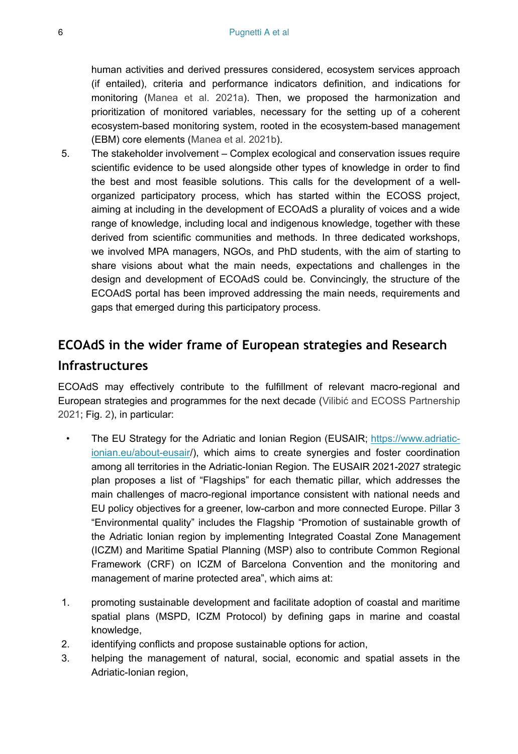human activities and derived pressures considered, ecosystem services approach (if entailed), criteria and performance indicators definition, and indications for monitoring [\(Manea et al. 2021a\)](#page-11-7). Then, we proposed the harmonization and prioritization of monitored variables, necessary for the setting up of a coherent ecosystem-based monitoring system, rooted in the ecosystem-based management (EBM) core elements [\(Manea et al. 2021b\)](#page-11-10).

5. The stakeholder involvement – Complex ecological and conservation issues require scientific evidence to be used alongside other types of knowledge in order to find the best and most feasible solutions. This calls for the development of a wellorganized participatory process, which has started within the ECOSS project, aiming at including in the development of ECOAdS a plurality of voices and a wide range of knowledge, including local and indigenous knowledge, together with these derived from scientific communities and methods. In three dedicated workshops, we involved MPA managers, NGOs, and PhD students, with the aim of starting to share visions about what the main needs, expectations and challenges in the design and development of ECOAdS could be. Convincingly, the structure of the ECOAdS portal has been improved addressing the main needs, requirements and gaps that emerged during this participatory process.

# **ECOAdS in the wider frame of European strategies and Research Infrastructures**

ECOAdS may effectively contribute to the fulfillment of relevant macro-regional and European strategies and programmes for the next decade (Vilibić [and ECOSS Partnership](#page-12-4) [2021](#page-12-4); Fig. [2\)](#page-6-0), in particular:

- The EU Strategy for the Adriatic and Ionian Region (EUSAIR; [https://www.adriatic](https://www.adriatic-ionian.eu/about-eusair)[ionian.eu/about-eusair/](https://www.adriatic-ionian.eu/about-eusair)), which aims to create synergies and foster coordination among all territories in the Adriatic-Ionian Region. The EUSAIR 2021-2027 strategic plan proposes a list of "Flagships" for each thematic pillar, which addresses the main challenges of macro-regional importance consistent with national needs and EU policy objectives for a greener, low-carbon and more connected Europe. Pillar 3 "Environmental quality" includes the Flagship "Promotion of sustainable growth of the Adriatic Ionian region by implementing Integrated Coastal Zone Management (ICZM) and Maritime Spatial Planning (MSP) also to contribute Common Regional Framework (CRF) on ICZM of Barcelona Convention and the monitoring and management of marine protected area", which aims at:
- 1. promoting sustainable development and facilitate adoption of coastal and maritime spatial plans (MSPD, ICZM Protocol) by defining gaps in marine and coastal knowledge,
- 2. identifying conflicts and propose sustainable options for action,
- 3. helping the management of natural, social, economic and spatial assets in the Adriatic-Ionian region,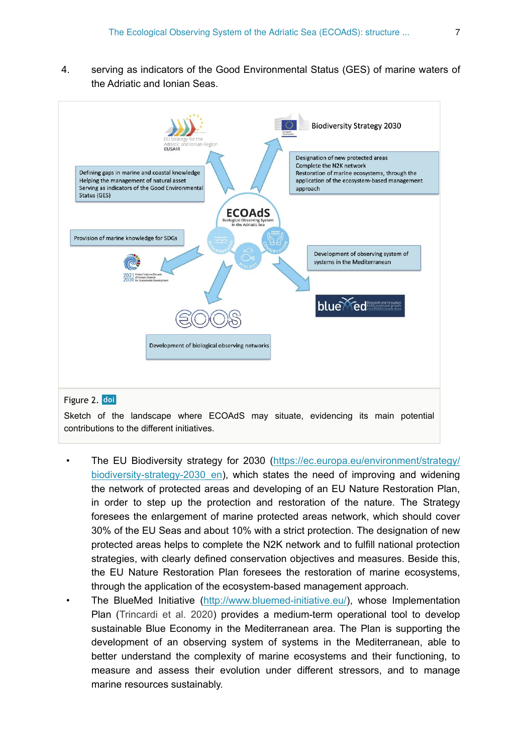4. serving as indicators of the Good Environmental Status (GES) of marine waters of the Adriatic and Ionian Seas.

<span id="page-6-0"></span>

Sketch of the landscape where ECOAdS may situate, evidencing its main potential contributions to the different initiatives.

- The EU Biodiversity strategy for 2030 ([https://ec.europa.eu/environment/strategy/](https://ec.europa.eu/environment/strategy/biodiversity-strategy-2030_en) [biodiversity-strategy-2030\\_en\)](https://ec.europa.eu/environment/strategy/biodiversity-strategy-2030_en), which states the need of improving and widening the network of protected areas and developing of an EU Nature Restoration Plan, in order to step up the protection and restoration of the nature. The Strategy foresees the enlargement of marine protected areas network, which should cover 30% of the EU Seas and about 10% with a strict protection. The designation of new protected areas helps to complete the N2K network and to fulfill national protection strategies, with clearly defined conservation objectives and measures. Beside this, the EU Nature Restoration Plan foresees the restoration of marine ecosystems, through the application of the ecosystem-based management approach.
- The BlueMed Initiative ([http://www.bluemed-initiative.eu/\)](http://www.bluemed-initiative.eu/), whose Implementation Plan ([Trincardi et al. 2020](#page-11-12)) provides a medium-term operational tool to develop sustainable Blue Economy in the Mediterranean area. The Plan is supporting the development of an observing system of systems in the Mediterranean, able to better understand the complexity of marine ecosystems and their functioning, to measure and assess their evolution under different stressors, and to manage marine resources sustainably.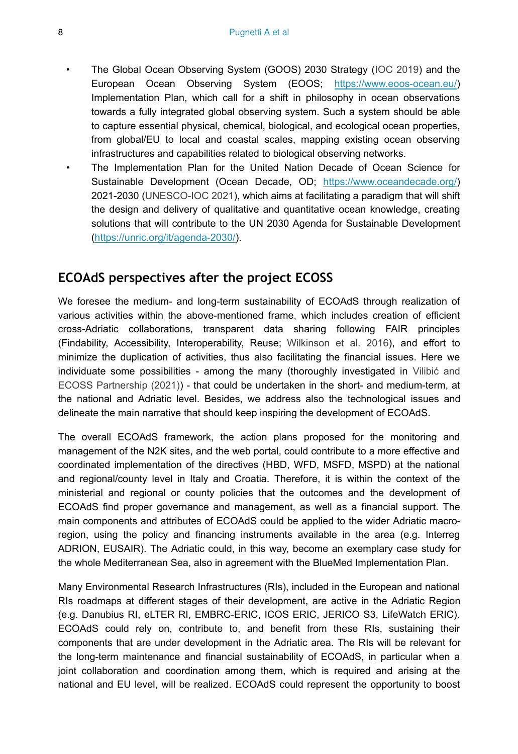- The Global Ocean Observing System (GOOS) 2030 Strategy [\(IOC 2019\)](#page-10-12) and the European Ocean Observing System (EOOS; <https://www.eoos-ocean.eu/>) Implementation Plan, which call for a shift in philosophy in ocean observations towards a fully integrated global observing system. Such a system should be able to capture essential physical, chemical, biological, and ecological ocean properties, from global/EU to local and coastal scales, mapping existing ocean observing infrastructures and capabilities related to biological observing networks.
- The Implementation Plan for the United Nation Decade of Ocean Science for Sustainable Development (Ocean Decade, OD; <https://www.oceandecade.org/>) 2021-2030 ([UNESCO-IOC 2021](#page-12-5)), which aims at facilitating a paradigm that will shift the design and delivery of qualitative and quantitative ocean knowledge, creating solutions that will contribute to the UN 2030 Agenda for Sustainable Development [\(https://unric.org/it/agenda-2030/\)](https://unric.org/it/agenda-2030/).

### **ECOAdS perspectives after the project ECOSS**

We foresee the medium- and long-term sustainability of ECOAdS through realization of various activities within the above-mentioned frame, which includes creation of efficient cross-Adriatic collaborations, transparent data sharing following FAIR principles (Findability, Accessibility, Interoperability, Reuse; [Wilkinson et al. 2016\)](#page-12-6), and effort to minimize the duplication of activities, thus also facilitating the financial issues. Here we individuate some possibilities - among the many (thoroughly investigated in [Vilibi](#page-12-4)ć and [ECOSS Partnership \(2021\)](#page-12-4)) - that could be undertaken in the short- and medium-term, at the national and Adriatic level. Besides, we address also the technological issues and delineate the main narrative that should keep inspiring the development of ECOAdS.

The overall ECOAdS framework, the action plans proposed for the monitoring and management of the N2K sites, and the web portal, could contribute to a more effective and coordinated implementation of the directives (HBD, WFD, MSFD, MSPD) at the national and regional/county level in Italy and Croatia. Therefore, it is within the context of the ministerial and regional or county policies that the outcomes and the development of ECOAdS find proper governance and management, as well as a financial support. The main components and attributes of ECOAdS could be applied to the wider Adriatic macroregion, using the policy and financing instruments available in the area (e.g. Interreg ADRION, EUSAIR). The Adriatic could, in this way, become an exemplary case study for the whole Mediterranean Sea, also in agreement with the BlueMed Implementation Plan.

Many Environmental Research Infrastructures (RIs), included in the European and national RIs roadmaps at different stages of their development, are active in the Adriatic Region (e.g. Danubius RI, eLTER RI, EMBRC-ERIC, ICOS ERIC, JERICO S3, LifeWatch ERIC). ECOAdS could rely on, contribute to, and benefit from these RIs, sustaining their components that are under development in the Adriatic area. The RIs will be relevant for the long-term maintenance and financial sustainability of ECOAdS, in particular when a joint collaboration and coordination among them, which is required and arising at the national and EU level, will be realized. ECOAdS could represent the opportunity to boost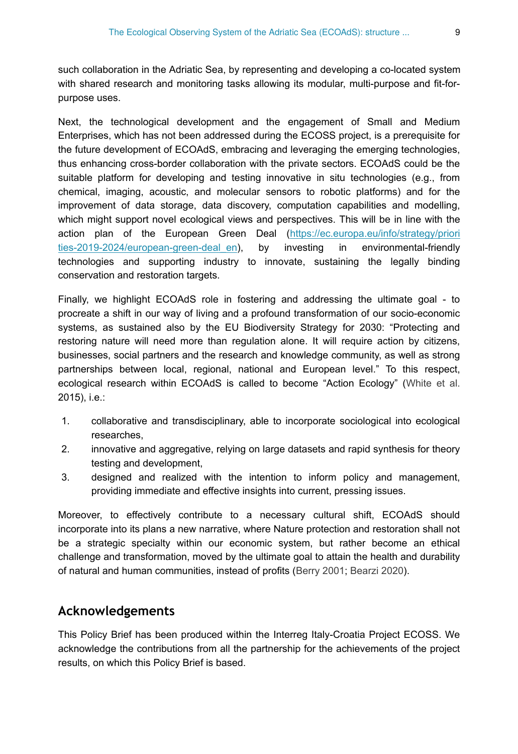such collaboration in the Adriatic Sea, by representing and developing a co-located system with shared research and monitoring tasks allowing its modular, multi-purpose and fit-forpurpose uses.

Next, the technological development and the engagement of Small and Medium Enterprises, which has not been addressed during the ECOSS project, is a prerequisite for the future development of ECOAdS, embracing and leveraging the emerging technologies, thus enhancing cross-border collaboration with the private sectors. ECOAdS could be the suitable platform for developing and testing innovative in situ technologies (e.g., from chemical, imaging, acoustic, and molecular sensors to robotic platforms) and for the improvement of data storage, data discovery, computation capabilities and modelling, which might support novel ecological views and perspectives. This will be in line with the action plan of the European Green Deal ([https://ec.europa.eu/info/strategy/priori](https://ec.europa.eu/info/strategy/priorities-2019-2024/european-green-deal_en) ties-2019-2024/european-green-deal en), by investing in environmental-friendly technologies and supporting industry to innovate, sustaining the legally binding conservation and restoration targets.

Finally, we highlight ECOAdS role in fostering and addressing the ultimate goal - to procreate a shift in our way of living and a profound transformation of our socio-economic systems, as sustained also by the EU Biodiversity Strategy for 2030: "Protecting and restoring nature will need more than regulation alone. It will require action by citizens, businesses, social partners and the research and knowledge community, as well as strong partnerships between local, regional, national and European level." To this respect, ecological research within ECOAdS is called to become "Action Ecology" [\(White et al.](#page-12-7) 2015), i.e.:

- 1. collaborative and transdisciplinary, able to incorporate sociological into ecological researches,
- 2. innovative and aggregative, relying on large datasets and rapid synthesis for theory testing and development,
- 3. designed and realized with the intention to inform policy and management, providing immediate and effective insights into current, pressing issues.

Moreover, to effectively contribute to a necessary cultural shift, ECOAdS should incorporate into its plans a new narrative, where Nature protection and restoration shall not be a strategic specialty within our economic system, but rather become an ethical challenge and transformation, moved by the ultimate goal to attain the health and durability of natural and human communities, instead of profits ([Berry 2001](#page-9-9); [Bearzi 2020](#page-9-10)).

#### **Acknowledgements**

This Policy Brief has been produced within the Interreg Italy-Croatia Project ECOSS. We acknowledge the contributions from all the partnership for the achievements of the project results, on which this Policy Brief is based.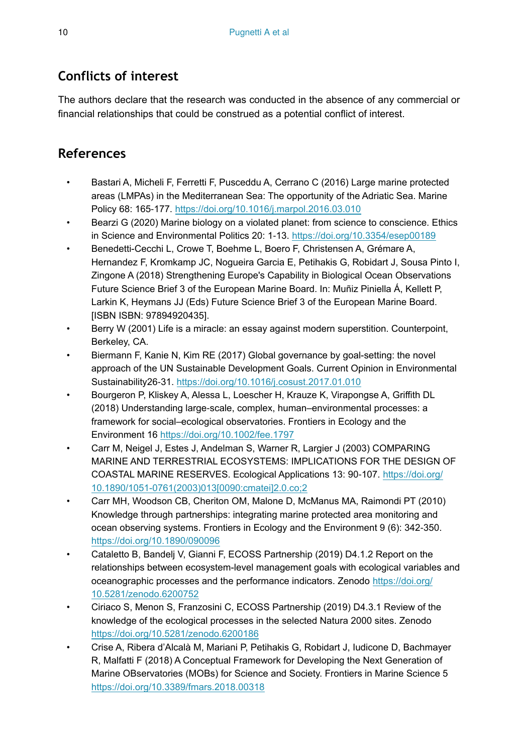### **Conflicts of interest**

The authors declare that the research was conducted in the absence of any commercial or financial relationships that could be construed as a potential conflict of interest.

## **References**

- <span id="page-9-6"></span>• Bastari A, Micheli F, Ferretti F, Pusceddu A, Cerrano C (2016) Large marine protected areas (LMPAs) in the Mediterranean Sea: The opportunity of the Adriatic Sea. Marine Policy 68: 165‑177. <https://doi.org/10.1016/j.marpol.2016.03.010>
- <span id="page-9-10"></span>• Bearzi G (2020) Marine biology on a violated planet: from science to conscience. Ethics in Science and Environmental Politics 20: 1‑13. <https://doi.org/10.3354/esep00189>
- <span id="page-9-1"></span>• Benedetti-Cecchi L, Crowe T, Boehme L, Boero F, Christensen A, Grémare A, Hernandez F, Kromkamp JC, Nogueira Garcia E, Petihakis G, Robidart J, Sousa Pinto I, Zingone A (2018) Strengthening Europe's Capability in Biological Ocean Observations Future Science Brief 3 of the European Marine Board. In: Muñiz Piniella Á, Kellett P, Larkin K, Heymans JJ (Eds) Future Science Brief 3 of the European Marine Board. [ISBN ISBN: 97894920435].
- <span id="page-9-9"></span>• Berry W (2001) Life is a miracle: an essay against modern superstition. Counterpoint, Berkeley, CA.
- <span id="page-9-5"></span>• Biermann F, Kanie N, Kim RE (2017) Global governance by goal-setting: the novel approach of the UN Sustainable Development Goals. Current Opinion in Environmental Sustainability26‑31.<https://doi.org/10.1016/j.cosust.2017.01.010>
- <span id="page-9-4"></span>• Bourgeron P, Kliskey A, Alessa L, Loescher H, Krauze K, Virapongse A, Griffith DL (2018) Understanding large‐scale, complex, human–environmental processes: a framework for social–ecological observatories. Frontiers in Ecology and the Environment 16 <https://doi.org/10.1002/fee.1797>
- <span id="page-9-3"></span>• Carr M, Neigel J, Estes J, Andelman S, Warner R, Largier J (2003) COMPARING MARINE AND TERRESTRIAL ECOSYSTEMS: IMPLICATIONS FOR THE DESIGN OF COASTAL MARINE RESERVES. Ecological Applications 13: 90‑107. [https://doi.org/](https://doi.org/10.1890/1051-0761(2003)013%5B0090:cmatei%5D2.0.co;2) [10.1890/1051-0761\(2003\)013\[0090:cmatei\]2.0.co;2](https://doi.org/10.1890/1051-0761(2003)013%5B0090:cmatei%5D2.0.co;2)
- <span id="page-9-2"></span>• Carr MH, Woodson CB, Cheriton OM, Malone D, McManus MA, Raimondi PT (2010) Knowledge through partnerships: integrating marine protected area monitoring and ocean observing systems. Frontiers in Ecology and the Environment 9 (6): 342‑350. <https://doi.org/10.1890/090096>
- <span id="page-9-8"></span>• Cataletto B, Bandelj V, Gianni F, ECOSS Partnership (2019) D4.1.2 Report on the relationships between ecosystem-level management goals with ecological variables and oceanographic processes and the performance indicators. Zenodo [https://doi.org/](https://doi.org/10.5281/zenodo.6200752) [10.5281/zenodo.6200752](https://doi.org/10.5281/zenodo.6200752)
- <span id="page-9-7"></span>• Ciriaco S, Menon S, Franzosini C, ECOSS Partnership (2019) D4.3.1 Review of the knowledge of the ecological processes in the selected Natura 2000 sites. Zenodo <https://doi.org/10.5281/zenodo.6200186>
- <span id="page-9-0"></span>• Crise A, Ribera d'Alcalà M, Mariani P, Petihakis G, Robidart J, Iudicone D, Bachmayer R, Malfatti F (2018) A Conceptual Framework for Developing the Next Generation of Marine OBservatories (MOBs) for Science and Society. Frontiers in Marine Science 5 <https://doi.org/10.3389/fmars.2018.00318>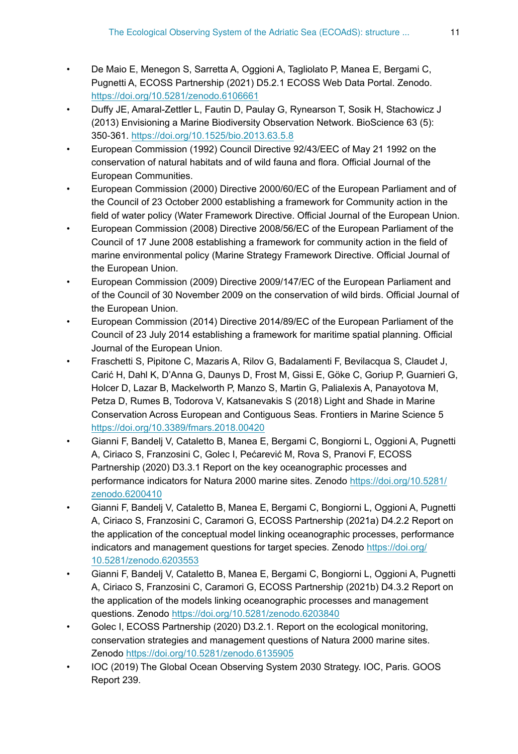- <span id="page-10-2"></span>• De Maio E, Menegon S, Sarretta A, Oggioni A, Tagliolato P, Manea E, Bergami C, Pugnetti A, ECOSS Partnership (2021) D5.2.1 ECOSS Web Data Portal. Zenodo. <https://doi.org/10.5281/zenodo.6106661>
- <span id="page-10-0"></span>• Duffy JE, Amaral-Zettler L, Fautin D, Paulay G, Rynearson T, Sosik H, Stachowicz J (2013) Envisioning a Marine Biodiversity Observation Network. BioScience 63 (5): 350‑361. <https://doi.org/10.1525/bio.2013.63.5.8>
- <span id="page-10-3"></span>• European Commission (1992) Council Directive 92/43/EEC of May 21 1992 on the conservation of natural habitats and of wild fauna and flora. Official Journal of the European Communities.
- <span id="page-10-9"></span>• European Commission (2000) Directive 2000/60/EC of the European Parliament and of the Council of 23 October 2000 establishing a framework for Community action in the field of water policy (Water Framework Directive. Official Journal of the European Union.
- <span id="page-10-10"></span>• European Commission (2008) Directive 2008/56/EC of the European Parliament of the Council of 17 June 2008 establishing a framework for community action in the field of marine environmental policy (Marine Strategy Framework Directive. Official Journal of the European Union.
- <span id="page-10-4"></span>• European Commission (2009) Directive 2009/147/EC of the European Parliament and of the Council of 30 November 2009 on the conservation of wild birds. Official Journal of the European Union.
- <span id="page-10-11"></span>• European Commission (2014) Directive 2014/89/EC of the European Parliament of the Council of 23 July 2014 establishing a framework for maritime spatial planning. Official Journal of the European Union.
- <span id="page-10-1"></span>• Fraschetti S, Pipitone C, Mazaris A, Rilov G, Badalamenti F, Bevilacqua S, Claudet J, Carić H, Dahl K, D'Anna G, Daunys D, Frost M, Gissi E, Göke C, Goriup P, Guarnieri G, Holcer D, Lazar B, Mackelworth P, Manzo S, Martin G, Palialexis A, Panayotova M, Petza D, Rumes B, Todorova V, Katsanevakis S (2018) Light and Shade in Marine Conservation Across European and Contiguous Seas. Frontiers in Marine Science 5 <https://doi.org/10.3389/fmars.2018.00420>
- <span id="page-10-6"></span>• Gianni F, Bandelj V, Cataletto B, Manea E, Bergami C, Bongiorni L, Oggioni A, Pugnetti A, Ciriaco S, Franzosini C, Golec I, Pećarević M, Rova S, Pranovi F, ECOSS Partnership (2020) D3.3.1 Report on the key oceanographic processes and performance indicators for Natura 2000 marine sites. Zenodo [https://doi.org/10.5281/](https://doi.org/10.5281/zenodo.6200410) [zenodo.6200410](https://doi.org/10.5281/zenodo.6200410)
- <span id="page-10-7"></span>• Gianni F, Bandelj V, Cataletto B, Manea E, Bergami C, Bongiorni L, Oggioni A, Pugnetti A, Ciriaco S, Franzosini C, Caramori G, ECOSS Partnership (2021a) D4.2.2 Report on the application of the conceptual model linking oceanographic processes, performance indicators and management questions for target species. Zenodo [https://doi.org/](https://doi.org/10.5281/zenodo.6203553) [10.5281/zenodo.6203553](https://doi.org/10.5281/zenodo.6203553)
- <span id="page-10-8"></span>• Gianni F, Bandelj V, Cataletto B, Manea E, Bergami C, Bongiorni L, Oggioni A, Pugnetti A, Ciriaco S, Franzosini C, Caramori G, ECOSS Partnership (2021b) D4.3.2 Report on the application of the models linking oceanographic processes and management questions. Zenodo<https://doi.org/10.5281/zenodo.6203840>
- <span id="page-10-5"></span>Golec I, ECOSS Partnership (2020) D3.2.1. Report on the ecological monitoring, conservation strategies and management questions of Natura 2000 marine sites. Zenodo <https://doi.org/10.5281/zenodo.6135905>
- <span id="page-10-12"></span>• IOC (2019) The Global Ocean Observing System 2030 Strategy. IOC, Paris. GOOS Report 239.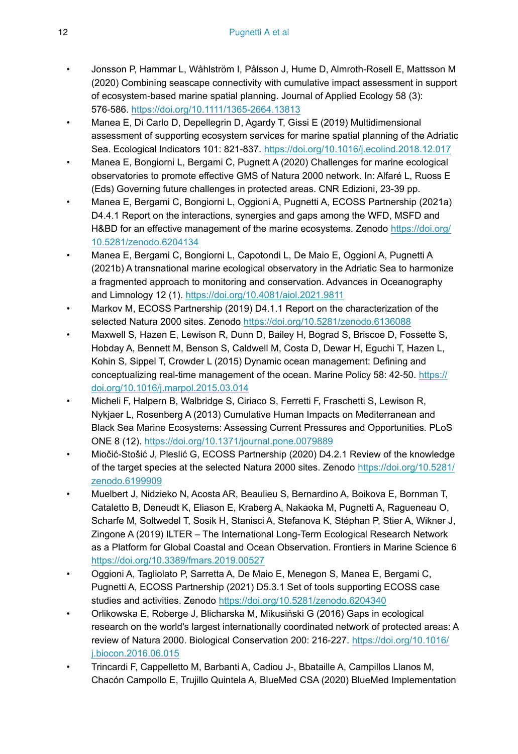- <span id="page-11-6"></span>• Jonsson P, Hammar L, Wåhlström I, Pålsson J, Hume D, Almroth‐Rosell E, Mattsson M (2020) Combining seascape connectivity with cumulative impact assessment in support of ecosystem‐based marine spatial planning. Journal of Applied Ecology 58 (3): 576‑586. <https://doi.org/10.1111/1365-2664.13813>
- <span id="page-11-2"></span>• Manea E, Di Carlo D, Depellegrin D, Agardy T, Gissi E (2019) Multidimensional assessment of supporting ecosystem services for marine spatial planning of the Adriatic Sea. Ecological Indicators 101: 821‑837.<https://doi.org/10.1016/j.ecolind.2018.12.017>
- <span id="page-11-3"></span>• Manea E, Bongiorni L, Bergami C, Pugnett A (2020) Challenges for marine ecological observatories to promote effective GMS of Natura 2000 network. In: Alfaré L, Ruoss E (Eds) Governing future challenges in protected areas. CNR Edizioni, 23-39 pp.
- <span id="page-11-7"></span>• Manea E, Bergami C, Bongiorni L, Oggioni A, Pugnetti A, ECOSS Partnership (2021a) D4.4.1 Report on the interactions, synergies and gaps among the WFD, MSFD and H&BD for an effective management of the marine ecosystems. Zenodo [https://doi.org/](https://doi.org/10.5281/zenodo.6204134) [10.5281/zenodo.6204134](https://doi.org/10.5281/zenodo.6204134)
- <span id="page-11-10"></span>• Manea E, Bergami C, Bongiorni L, Capotondi L, De Maio E, Oggioni A, Pugnetti A (2021b) A transnational marine ecological observatory in the Adriatic Sea to harmonize a fragmented approach to monitoring and conservation. Advances in Oceanography and Limnology 12 (1). <https://doi.org/10.4081/aiol.2021.9811>
- <span id="page-11-8"></span>Markov M, ECOSS Partnership (2019) D4.1.1 Report on the characterization of the selected Natura 2000 sites. Zenodo <https://doi.org/10.5281/zenodo.6136088>
- <span id="page-11-1"></span>• Maxwell S, Hazen E, Lewison R, Dunn D, Bailey H, Bograd S, Briscoe D, Fossette S, Hobday A, Bennett M, Benson S, Caldwell M, Costa D, Dewar H, Eguchi T, Hazen L, Kohin S, Sippel T, Crowder L (2015) Dynamic ocean management: Defining and conceptualizing real-time management of the ocean. Marine Policy 58: 42-50. [https://](https://doi.org/10.1016/j.marpol.2015.03.014) [doi.org/10.1016/j.marpol.2015.03.014](https://doi.org/10.1016/j.marpol.2015.03.014)
- <span id="page-11-4"></span>• Micheli F, Halpern B, Walbridge S, Ciriaco S, Ferretti F, Fraschetti S, Lewison R, Nykjaer L, Rosenberg A (2013) Cumulative Human Impacts on Mediterranean and Black Sea Marine Ecosystems: Assessing Current Pressures and Opportunities. PLoS ONE 8 (12).<https://doi.org/10.1371/journal.pone.0079889>
- <span id="page-11-9"></span>• Miočić-Stošić J, Pleslić G, ECOSS Partnership (2020) D4.2.1 Review of the knowledge of the target species at the selected Natura 2000 sites. Zenodo [https://doi.org/10.5281/](https://doi.org/10.5281/zenodo.6199909) [zenodo.6199909](https://doi.org/10.5281/zenodo.6199909)
- <span id="page-11-0"></span>• Muelbert J, Nidzieko N, Acosta AR, Beaulieu S, Bernardino A, Boikova E, Bornman T, Cataletto B, Deneudt K, Eliason E, Kraberg A, Nakaoka M, Pugnetti A, Ragueneau O, Scharfe M, Soltwedel T, Sosik H, Stanisci A, Stefanova K, Stéphan P, Stier A, Wikner J, Zingone A (2019) ILTER – The International Long-Term Ecological Research Network as a Platform for Global Coastal and Ocean Observation. Frontiers in Marine Science 6 <https://doi.org/10.3389/fmars.2019.00527>
- <span id="page-11-11"></span>• Oggioni A, Tagliolato P, Sarretta A, De Maio E, Menegon S, Manea E, Bergami C, Pugnetti A, ECOSS Partnership (2021) D5.3.1 Set of tools supporting ECOSS case studies and activities. Zenodo<https://doi.org/10.5281/zenodo.6204340>
- <span id="page-11-5"></span>• Orlikowska E, Roberge J, Blicharska M, Mikusiński G (2016) Gaps in ecological research on the world's largest internationally coordinated network of protected areas: A review of Natura 2000. Biological Conservation 200: 216‑227. [https://doi.org/10.1016/](https://doi.org/10.1016/j.biocon.2016.06.015) [j.biocon.2016.06.015](https://doi.org/10.1016/j.biocon.2016.06.015)
- <span id="page-11-12"></span>• Trincardi F, Cappelletto M, Barbanti A, Cadiou J-, Bbataille A, Campillos Llanos M, Chacón Campollo E, Trujillo Quintela A, BlueMed CSA (2020) BlueMed Implementation